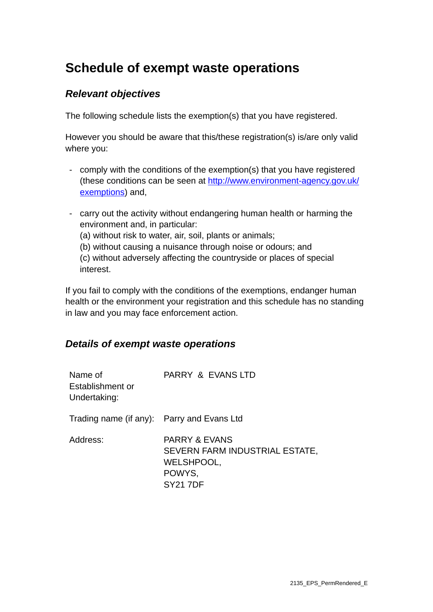# **Schedule of exempt waste operations**

## *Relevant objectives*

The following schedule lists the exemption(s) that you have registered.

However you should be aware that this/these registration(s) is/are only valid where you:

- comply with the conditions of the exemption(s) that you have registered (these conditions can be seen at [http://www.environment-agency.gov.uk/](http://www.environment-agency.gov.uk/exemptions) [exemptions](http://www.environment-agency.gov.uk/exemptions)) and,
- carry out the activity without endangering human health or harming the environment and, in particular: (a) without risk to water, air, soil, plants or animals; (b) without causing a nuisance through noise or odours; and (c) without adversely affecting the countryside or places of special interest.

If you fail to comply with the conditions of the exemptions, endanger human health or the environment your registration and this schedule has no standing in law and you may face enforcement action.

### *Details of exempt waste operations*

| Name of<br>Establishment or<br>Undertaking: | PARRY & EVANS LTD                                                                                    |
|---------------------------------------------|------------------------------------------------------------------------------------------------------|
| Trading name (if any): Parry and Evans Ltd  |                                                                                                      |
| Address:                                    | <b>PARRY &amp; EVANS</b><br>SEVERN FARM INDUSTRIAL ESTATE,<br>WELSHPOOL,<br>POWYS.<br><b>SY217DF</b> |